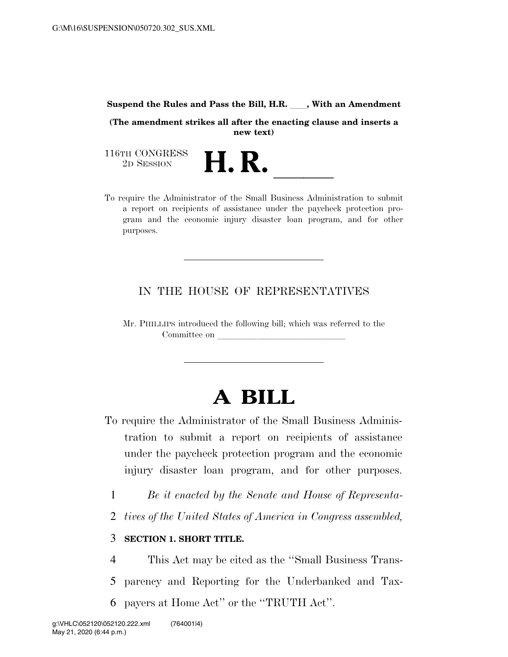#### **Suspend the Rules and Pass the Bill, H.R.**  $\qquad$ **, With an Amendment**

**(The amendment strikes all after the enacting clause and inserts a new text)** 

116TH CONGRESS<br>2D SESSION

116TH CONGRESS<br>
2D SESSION<br>
To require the Administrator of the Small Business Administration to submit a report on recipients of assistance under the paycheck protection program and the economic injury disaster loan program, and for other purposes.

# IN THE HOUSE OF REPRESENTATIVES

Mr. PHILLIPS introduced the following bill; which was referred to the Committee on

# **A BILL**

- To require the Administrator of the Small Business Administration to submit a report on recipients of assistance under the paycheck protection program and the economic injury disaster loan program, and for other purposes.
	- 1 *Be it enacted by the Senate and House of Representa-*
	- 2 *tives of the United States of America in Congress assembled,*

# 3 **SECTION 1. SHORT TITLE.**

4 This Act may be cited as the ''Small Business Trans-5 parency and Reporting for the Underbanked and Tax-6 payers at Home Act'' or the ''TRUTH Act''.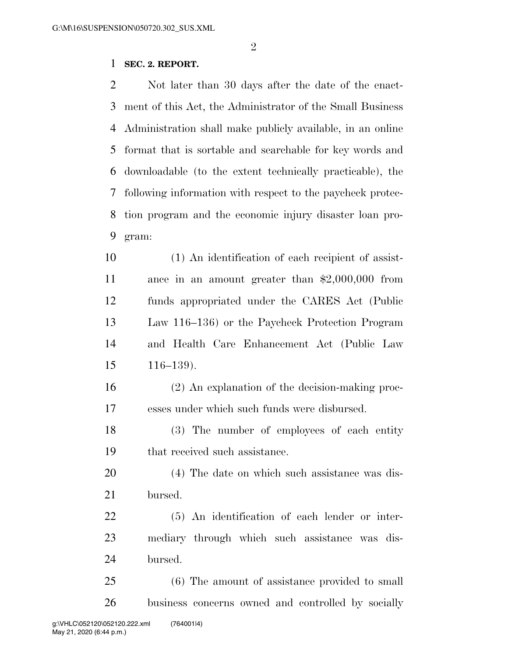# **SEC. 2. REPORT.**

 Not later than 30 days after the date of the enact- ment of this Act, the Administrator of the Small Business Administration shall make publicly available, in an online format that is sortable and searchable for key words and downloadable (to the extent technically practicable), the following information with respect to the paycheck protec- tion program and the economic injury disaster loan pro-gram:

 (1) An identification of each recipient of assist- ance in an amount greater than \$2,000,000 from funds appropriated under the CARES Act (Public Law 116–136) or the Paycheck Protection Program and Health Care Enhancement Act (Public Law 116–139).

 (2) An explanation of the decision-making proc-esses under which such funds were disbursed.

 (3) The number of employees of each entity that received such assistance.

 (4) The date on which such assistance was dis-bursed.

 (5) An identification of each lender or inter- mediary through which such assistance was dis-bursed.

 (6) The amount of assistance provided to small business concerns owned and controlled by socially